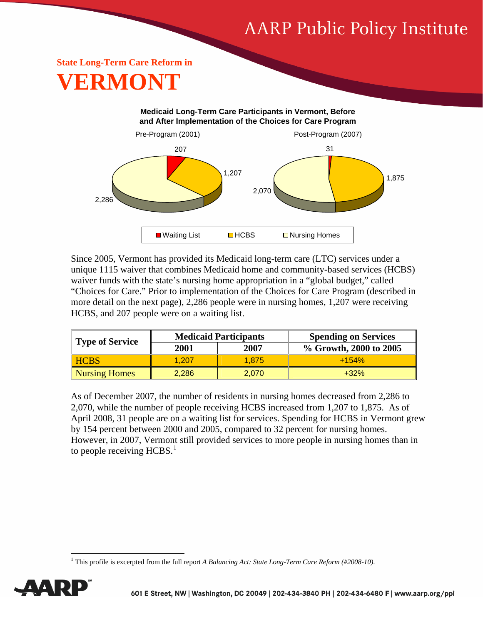# **AARP Public Policy Institute**

## **State Long-Term Care Reform in VERMONT**

#### **Medicaid Long-Term Care Participants in Vermont, Before and After Implementation of the Choices for Care Program** Pre-Program (2001) Post-Program (2007) 207 1,207 2,286 31 1,875 2,070  $\Box$  Waiting List  $\Box$  HCBS  $\Box$  Nursing Homes

Since 2005, Vermont has provided its Medicaid long-term care (LTC) services under a unique 1115 waiver that combines Medicaid home and community-based services (HCBS) waiver funds with the state's nursing home appropriation in a "global budget," called "Choices for Care." Prior to implementation of the Choices for Care Program (described in more detail on the next page), 2,286 people were in nursing homes, 1,207 were receiving HCBS, and 207 people were on a waiting list.

| Type of Service      | <b>Medicaid Participants</b> |       | <b>Spending on Services</b> |
|----------------------|------------------------------|-------|-----------------------------|
|                      | 2001                         | 2007  | % Growth, 2000 to 2005      |
| <b>HCBS</b>          | 1.207                        | 1.875 | $+154%$                     |
| <b>Nursing Homes</b> | 2,286                        | 2.070 | $+32%$                      |

As of December 2007, the number of residents in nursing homes decreased from 2,286 to 2,070, while the number of people receiving HCBS increased from 1,207 to 1,875. As of April 2008, 31 people are on a waiting list for services. Spending for HCBS in Vermont grew by 154 percent between 2000 and 2005, compared to 32 percent for nursing homes. However, in 2007, Vermont still provided services to more people in nursing homes than in to people receiving  $HCBS<sup>1</sup>$  $HCBS<sup>1</sup>$  $HCBS<sup>1</sup>$ 

<span id="page-0-0"></span><sup>&</sup>lt;sup>1</sup> This profile is excerpted from the full report *A Balancing Act: State Long-Term Care Reform (#2008-10)*.



 $\overline{a}$